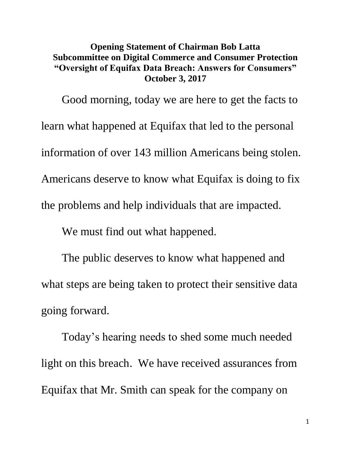## **Opening Statement of Chairman Bob Latta Subcommittee on Digital Commerce and Consumer Protection "Oversight of Equifax Data Breach: Answers for Consumers" October 3, 2017**

Good morning, today we are here to get the facts to learn what happened at Equifax that led to the personal information of over 143 million Americans being stolen. Americans deserve to know what Equifax is doing to fix the problems and help individuals that are impacted.

We must find out what happened.

The public deserves to know what happened and what steps are being taken to protect their sensitive data going forward.

Today's hearing needs to shed some much needed light on this breach. We have received assurances from Equifax that Mr. Smith can speak for the company on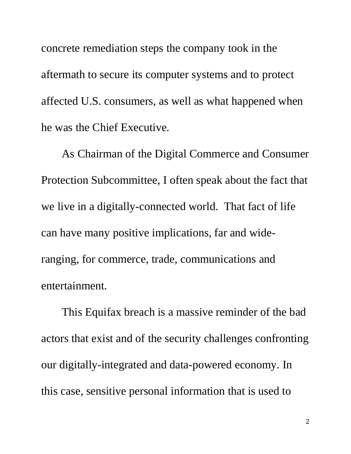concrete remediation steps the company took in the aftermath to secure its computer systems and to protect affected U.S. consumers, as well as what happened when he was the Chief Executive.

As Chairman of the Digital Commerce and Consumer Protection Subcommittee, I often speak about the fact that we live in a digitally-connected world. That fact of life can have many positive implications, far and wideranging, for commerce, trade, communications and entertainment.

This Equifax breach is a massive reminder of the bad actors that exist and of the security challenges confronting our digitally-integrated and data-powered economy. In this case, sensitive personal information that is used to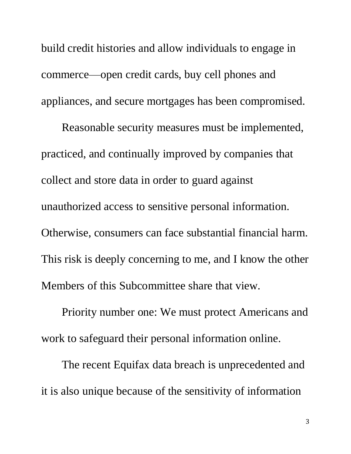build credit histories and allow individuals to engage in commerce—open credit cards, buy cell phones and appliances, and secure mortgages has been compromised.

Reasonable security measures must be implemented, practiced, and continually improved by companies that collect and store data in order to guard against unauthorized access to sensitive personal information. Otherwise, consumers can face substantial financial harm. This risk is deeply concerning to me, and I know the other Members of this Subcommittee share that view.

Priority number one: We must protect Americans and work to safeguard their personal information online.

The recent Equifax data breach is unprecedented and it is also unique because of the sensitivity of information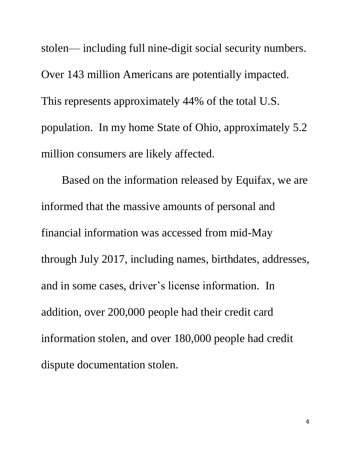stolen— including full nine-digit social security numbers. Over 143 million Americans are potentially impacted. This represents approximately 44% of the total U.S. population. In my home State of Ohio, approximately 5.2 million consumers are likely affected.

Based on the information released by Equifax, we are informed that the massive amounts of personal and financial information was accessed from mid-May through July 2017, including names, birthdates, addresses, and in some cases, driver's license information. In addition, over 200,000 people had their credit card information stolen, and over 180,000 people had credit dispute documentation stolen.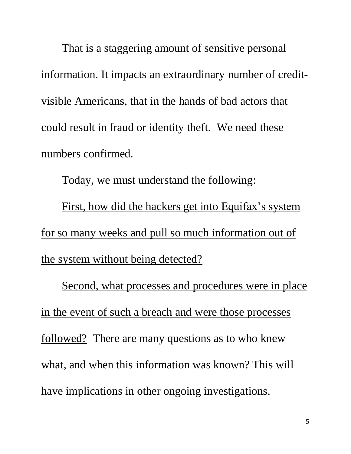That is a staggering amount of sensitive personal information. It impacts an extraordinary number of creditvisible Americans, that in the hands of bad actors that could result in fraud or identity theft. We need these numbers confirmed.

Today, we must understand the following:

First, how did the hackers get into Equifax's system for so many weeks and pull so much information out of the system without being detected?

Second, what processes and procedures were in place in the event of such a breach and were those processes followed? There are many questions as to who knew what, and when this information was known? This will have implications in other ongoing investigations.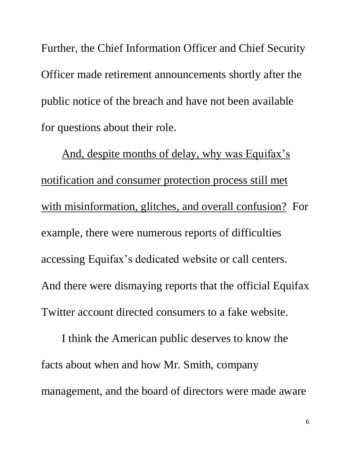Further, the Chief Information Officer and Chief Security Officer made retirement announcements shortly after the public notice of the breach and have not been available for questions about their role.

And, despite months of delay, why was Equifax's notification and consumer protection process still met with misinformation, glitches, and overall confusion? For example, there were numerous reports of difficulties accessing Equifax's dedicated website or call centers. And there were dismaying reports that the official Equifax Twitter account directed consumers to a fake website.

I think the American public deserves to know the facts about when and how Mr. Smith, company management, and the board of directors were made aware